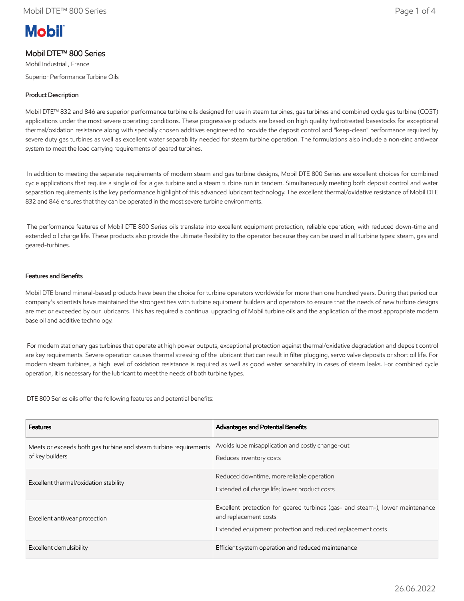# **Mobil**

## Mobil DTE™ 800 Series

Mobil Industrial , France Superior Performance Turbine Oils

## Product Description

Mobil DTE™ 832 and 846 are superior performance turbine oils designed for use in steam turbines, gas turbines and combined cycle gas turbine (CCGT) applications under the most severe operating conditions. These progressive products are based on high quality hydrotreated basestocks for exceptional thermal/oxidation resistance along with specially chosen additives engineered to provide the deposit control and "keep-clean" performance required by severe duty gas turbines as well as excellent water separability needed for steam turbine operation. The formulations also include a non-zinc antiwear system to meet the load carrying requirements of geared turbines.

 In addition to meeting the separate requirements of modern steam and gas turbine designs, Mobil DTE 800 Series are excellent choices for combined cycle applications that require a single oil for a gas turbine and a steam turbine run in tandem. Simultaneously meeting both deposit control and water separation requirements is the key performance highlight of this advanced lubricant technology. The excellent thermal/oxidative resistance of Mobil DTE 832 and 846 ensures that they can be operated in the most severe turbine environments.

 The performance features of Mobil DTE 800 Series oils translate into excellent equipment protection, reliable operation, with reduced down-time and extended oil charge life. These products also provide the ultimate flexibility to the operator because they can be used in all turbine types: steam, gas and geared-turbines.

#### Features and Benefits

Mobil DTE brand mineral-based products have been the choice for turbine operators worldwide for more than one hundred years. During that period our company's scientists have maintained the strongest ties with turbine equipment builders and operators to ensure that the needs of new turbine designs are met or exceeded by our lubricants. This has required a continual upgrading of Mobil turbine oils and the application of the most appropriate modern base oil and additive technology.

 For modern stationary gas turbines that operate at high power outputs, exceptional protection against thermal/oxidative degradation and deposit control are key requirements. Severe operation causes thermal stressing of the lubricant that can result in filter plugging, servo valve deposits or short oil life. For modern steam turbines, a high level of oxidation resistance is required as well as good water separability in cases of steam leaks. For combined cycle operation, it is necessary for the lubricant to meet the needs of both turbine types.

DTE 800 Series oils offer the following features and potential benefits:

| <b>Features</b>                                                                     | <b>Advantages and Potential Benefits</b>                                                                                                                              |
|-------------------------------------------------------------------------------------|-----------------------------------------------------------------------------------------------------------------------------------------------------------------------|
| Meets or exceeds both gas turbine and steam turbine requirements<br>of key builders | Avoids lube misapplication and costly change-out<br>Reduces inventory costs                                                                                           |
| Excellent thermal/oxidation stability                                               | Reduced downtime, more reliable operation<br>Extended oil charge life; lower product costs                                                                            |
| Excellent antiwear protection                                                       | Excellent protection for geared turbines (gas- and steam-), lower maintenance<br>and replacement costs<br>Extended equipment protection and reduced replacement costs |
| Excellent demulsibility                                                             | Efficient system operation and reduced maintenance                                                                                                                    |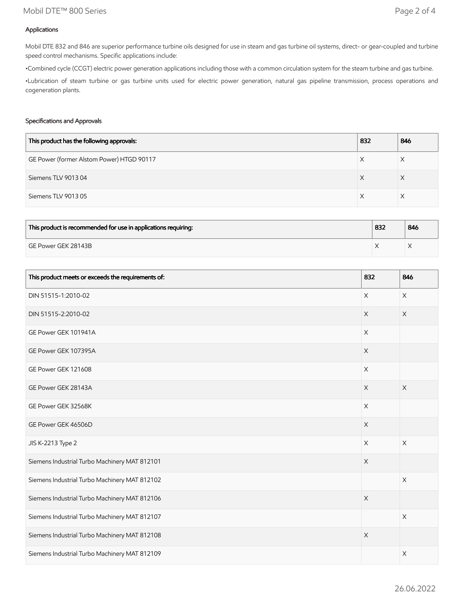## Mobil DTE™ 800 Series Page 2 of 4

### Applications

Mobil DTE 832 and 846 are superior performance turbine oils designed for use in steam and gas turbine oil systems, direct- or gear-coupled and turbine speed control mechanisms. Specific applications include:

•Combined cycle (CCGT) electric power generation applications including those with a common circulation system for the steam turbine and gas turbine.

•Lubrication of steam turbine or gas turbine units used for electric power generation, natural gas pipeline transmission, process operations and cogeneration plants.

#### Specifications and Approvals

| This product has the following approvals: | 832 | 846 |
|-------------------------------------------|-----|-----|
| GE Power (former Alstom Power) HTGD 90117 |     |     |
| Siemens TLV 901304                        |     | ∧   |
| Siemens TLV 901305                        |     |     |

| This product is recommended for use in applications requiring: | 832 | 846 |
|----------------------------------------------------------------|-----|-----|
| GE Power GEK 28143B                                            |     |     |

| This product meets or exceeds the requirements of: | 832         | 846                   |
|----------------------------------------------------|-------------|-----------------------|
| DIN 51515-1:2010-02                                | $\times$    | $\mathsf X$           |
| DIN 51515-2:2010-02                                | $\times$    | X                     |
| GE Power GEK 101941A                               | $\times$    |                       |
| GE Power GEK 107395A                               | $\mathsf X$ |                       |
| GE Power GEK 121608                                | $\times$    |                       |
| GE Power GEK 28143A                                | $\times$    | $\times$              |
| GE Power GEK 32568K                                | $\mathsf X$ |                       |
| GE Power GEK 46506D                                | $\mathsf X$ |                       |
| JIS K-2213 Type 2                                  | $\times$    | $\times$              |
| Siemens Industrial Turbo Machinery MAT 812101      | X           |                       |
| Siemens Industrial Turbo Machinery MAT 812102      |             | $\mathsf X$           |
| Siemens Industrial Turbo Machinery MAT 812106      | $\mathsf X$ |                       |
| Siemens Industrial Turbo Machinery MAT 812107      |             | $\times$              |
| Siemens Industrial Turbo Machinery MAT 812108      | $\times$    |                       |
| Siemens Industrial Turbo Machinery MAT 812109      |             | $\boldsymbol{\times}$ |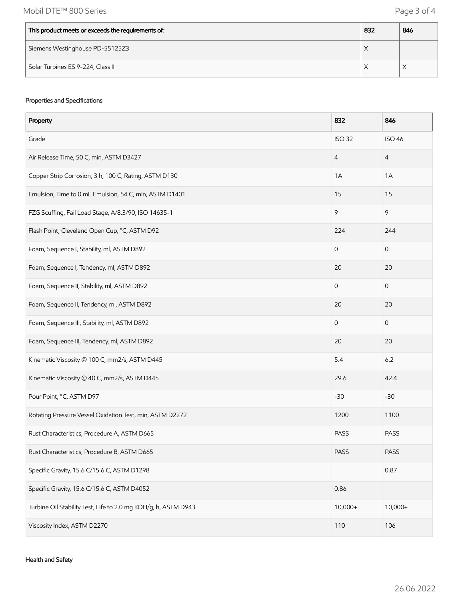| This product meets or exceeds the requirements of: | 832                | 846 |
|----------------------------------------------------|--------------------|-----|
| Siemens Westinghouse PD-55125Z3                    | $\lambda$          |     |
| Solar Turbines ES 9-224, Class II                  | $\curvearrowright$ |     |

## Properties and Specifications

| Property                                                       | 832            | 846                 |
|----------------------------------------------------------------|----------------|---------------------|
| Grade                                                          | <b>ISO 32</b>  | <b>ISO 46</b>       |
| Air Release Time, 50 C, min, ASTM D3427                        | $\overline{4}$ | $\overline{4}$      |
| Copper Strip Corrosion, 3 h, 100 C, Rating, ASTM D130          | 1A             | 1A                  |
| Emulsion, Time to 0 mL Emulsion, 54 C, min, ASTM D1401         | 15             | 15                  |
| FZG Scuffing, Fail Load Stage, A/8.3/90, ISO 14635-1           | 9              | 9                   |
| Flash Point, Cleveland Open Cup, °C, ASTM D92                  | 224            | 244                 |
| Foam, Sequence I, Stability, ml, ASTM D892                     | $\mathsf O$    | $\mathsf{O}\xspace$ |
| Foam, Sequence I, Tendency, ml, ASTM D892                      | 20             | 20                  |
| Foam, Sequence II, Stability, ml, ASTM D892                    | $\mathbf 0$    | $\mathsf{O}\xspace$ |
| Foam, Sequence II, Tendency, ml, ASTM D892                     | 20             | 20                  |
| Foam, Sequence III, Stability, ml, ASTM D892                   | $\mathbf 0$    | $\mathsf O$         |
| Foam, Sequence III, Tendency, ml, ASTM D892                    | 20             | 20                  |
| Kinematic Viscosity @ 100 C, mm2/s, ASTM D445                  | 5.4            | 6.2                 |
| Kinematic Viscosity @ 40 C, mm2/s, ASTM D445                   | 29.6           | 42.4                |
| Pour Point, °C, ASTM D97                                       | $-30$          | $-30$               |
| Rotating Pressure Vessel Oxidation Test, min, ASTM D2272       | 1200           | 1100                |
| Rust Characteristics, Procedure A, ASTM D665                   | PASS           | <b>PASS</b>         |
| Rust Characteristics, Procedure B, ASTM D665                   | <b>PASS</b>    | PASS                |
| Specific Gravity, 15.6 C/15.6 C, ASTM D1298                    |                | 0.87                |
| Specific Gravity, 15.6 C/15.6 C, ASTM D4052                    | 0.86           |                     |
| Turbine Oil Stability Test, Life to 2.0 mg KOH/g, h, ASTM D943 | 10,000+        | $10,000+$           |
| Viscosity Index, ASTM D2270                                    | 110            | 106                 |